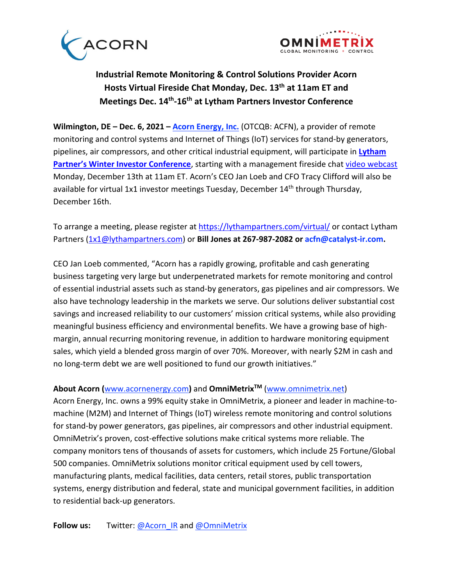



## **Industrial Remote Monitoring & Control Solutions Provider Acorn Hosts Virtual Fireside Chat Monday, Dec. 13th at 11am ET and Meetings Dec. 14th -16th at Lytham Partners Investor Conference**

**Wilmington, DE – Dec. 6, 2021 – [Acorn Energy, Inc.](http://www.acornenergy.com/)** (OTCQB: ACFN), a provider of remote monitoring and control systems and Internet of Things (IoT) services for stand-by generators, pipelines, air compressors, and other critical industrial equipment, will participate in **[Lytham](https://lythampartners.com/2021/10/save-the-date-lytham-partners-winter-2021-investor-conference/) Partner's [Winter Investor Conference](https://lythampartners.com/2021/10/save-the-date-lytham-partners-winter-2021-investor-conference/)**, starting with a management fireside chat [video webcast](https://wsw.com/webcast/lytham3/acfn/1997040) Monday, December 13th at 11am ET. Acorn's CEO Jan Loeb and CFO Tracy Clifford will also be available for virtual 1x1 investor meetings Tuesday, December 14<sup>th</sup> through Thursday, December 16th.

To arrange a meeting, please register at<https://lythampartners.com/virtual/> or contact Lytham Partners [\(1x1@lythampartners.com\)](mailto:1x1@lythampartners.com) or **Bill Jones at 267-987-2082 or acfn@catalyst-ir.com.**

CEO Jan Loeb commented, "Acorn has a rapidly growing, profitable and cash generating business targeting very large but underpenetrated markets for remote monitoring and control of essential industrial assets such as stand-by generators, gas pipelines and air compressors. We also have technology leadership in the markets we serve. Our solutions deliver substantial cost savings and increased reliability to our customers' mission critical systems, while also providing meaningful business efficiency and environmental benefits. We have a growing base of highmargin, annual recurring monitoring revenue, in addition to hardware monitoring equipment sales, which yield a blended gross margin of over 70%. Moreover, with nearly \$2M in cash and no long-term debt we are well positioned to fund our growth initiatives."

## **About Acorn (**[www.acornenergy.com](http://www.acornenergy.com/)**)** and **OmniMetrixTM** [\(www.omnimetrix.net\)](http://www.omnimetrix.net/)

Acorn Energy, Inc. owns a 99% equity stake in OmniMetrix, a pioneer and leader in machine-tomachine (M2M) and Internet of Things (IoT) wireless remote monitoring and control solutions for stand-by power generators, gas pipelines, air compressors and other industrial equipment. OmniMetrix's proven, cost-effective solutions make critical systems more reliable. The company monitors tens of thousands of assets for customers, which include 25 Fortune/Global 500 companies. OmniMetrix solutions monitor critical equipment used by cell towers, manufacturing plants, medical facilities, data centers, retail stores, public transportation systems, energy distribution and federal, state and municipal government facilities, in addition to residential back-up generators.

**Follow us:** Twitter: [@Acorn\\_IR](https://twitter.com/ACORN_IR) and [@OmniMetrix](https://twitter.com/OmniMetrix)